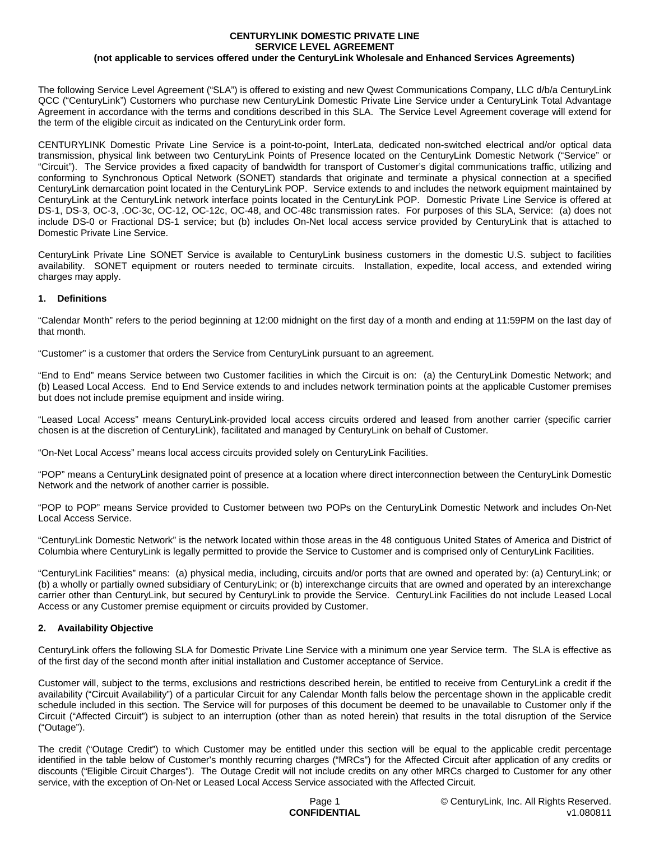#### **CENTURYLINK DOMESTIC PRIVATE LINE SERVICE LEVEL AGREEMENT (not applicable to services offered under the CenturyLink Wholesale and Enhanced Services Agreements)**

The following Service Level Agreement ("SLA") is offered to existing and new Qwest Communications Company, LLC d/b/a CenturyLink QCC ("CenturyLink") Customers who purchase new CenturyLink Domestic Private Line Service under a CenturyLink Total Advantage Agreement in accordance with the terms and conditions described in this SLA. The Service Level Agreement coverage will extend for the term of the eligible circuit as indicated on the CenturyLink order form.

CENTURYLINK Domestic Private Line Service is a point-to-point, InterLata, dedicated non-switched electrical and/or optical data transmission, physical link between two CenturyLink Points of Presence located on the CenturyLink Domestic Network ("Service" or "Circuit"). The Service provides a fixed capacity of bandwidth for transport of Customer's digital communications traffic, utilizing and conforming to Synchronous Optical Network (SONET) standards that originate and terminate a physical connection at a specified CenturyLink demarcation point located in the CenturyLink POP. Service extends to and includes the network equipment maintained by CenturyLink at the CenturyLink network interface points located in the CenturyLink POP. Domestic Private Line Service is offered at DS-1, DS-3, OC-3, .OC-3c, OC-12, OC-12c, OC-48, and OC-48c transmission rates. For purposes of this SLA, Service: (a) does not include DS-0 or Fractional DS-1 service; but (b) includes On-Net local access service provided by CenturyLink that is attached to Domestic Private Line Service.

CenturyLink Private Line SONET Service is available to CenturyLink business customers in the domestic U.S. subject to facilities availability. SONET equipment or routers needed to terminate circuits. Installation, expedite, local access, and extended wiring charges may apply.

#### **1. Definitions**

"Calendar Month" refers to the period beginning at 12:00 midnight on the first day of a month and ending at 11:59PM on the last day of that month.

"Customer" is a customer that orders the Service from CenturyLink pursuant to an agreement.

"End to End" means Service between two Customer facilities in which the Circuit is on: (a) the CenturyLink Domestic Network; and (b) Leased Local Access. End to End Service extends to and includes network termination points at the applicable Customer premises but does not include premise equipment and inside wiring.

"Leased Local Access" means CenturyLink-provided local access circuits ordered and leased from another carrier (specific carrier chosen is at the discretion of CenturyLink), facilitated and managed by CenturyLink on behalf of Customer.

"On-Net Local Access" means local access circuits provided solely on CenturyLink Facilities.

"POP" means a CenturyLink designated point of presence at a location where direct interconnection between the CenturyLink Domestic Network and the network of another carrier is possible.

"POP to POP" means Service provided to Customer between two POPs on the CenturyLink Domestic Network and includes On-Net Local Access Service.

"CenturyLink Domestic Network" is the network located within those areas in the 48 contiguous United States of America and District of Columbia where CenturyLink is legally permitted to provide the Service to Customer and is comprised only of CenturyLink Facilities.

"CenturyLink Facilities" means: (a) physical media, including, circuits and/or ports that are owned and operated by: (a) CenturyLink; or (b) a wholly or partially owned subsidiary of CenturyLink; or (b) interexchange circuits that are owned and operated by an interexchange carrier other than CenturyLink, but secured by CenturyLink to provide the Service. CenturyLink Facilities do not include Leased Local Access or any Customer premise equipment or circuits provided by Customer.

# **2. Availability Objective**

CenturyLink offers the following SLA for Domestic Private Line Service with a minimum one year Service term. The SLA is effective as of the first day of the second month after initial installation and Customer acceptance of Service.

Customer will, subject to the terms, exclusions and restrictions described herein, be entitled to receive from CenturyLink a credit if the availability ("Circuit Availability") of a particular Circuit for any Calendar Month falls below the percentage shown in the applicable credit schedule included in this section. The Service will for purposes of this document be deemed to be unavailable to Customer only if the Circuit ("Affected Circuit") is subject to an interruption (other than as noted herein) that results in the total disruption of the Service ("Outage").

The credit ("Outage Credit") to which Customer may be entitled under this section will be equal to the applicable credit percentage identified in the table below of Customer's monthly recurring charges ("MRCs") for the Affected Circuit after application of any credits or discounts ("Eligible Circuit Charges"). The Outage Credit will not include credits on any other MRCs charged to Customer for any other service, with the exception of On-Net or Leased Local Access Service associated with the Affected Circuit.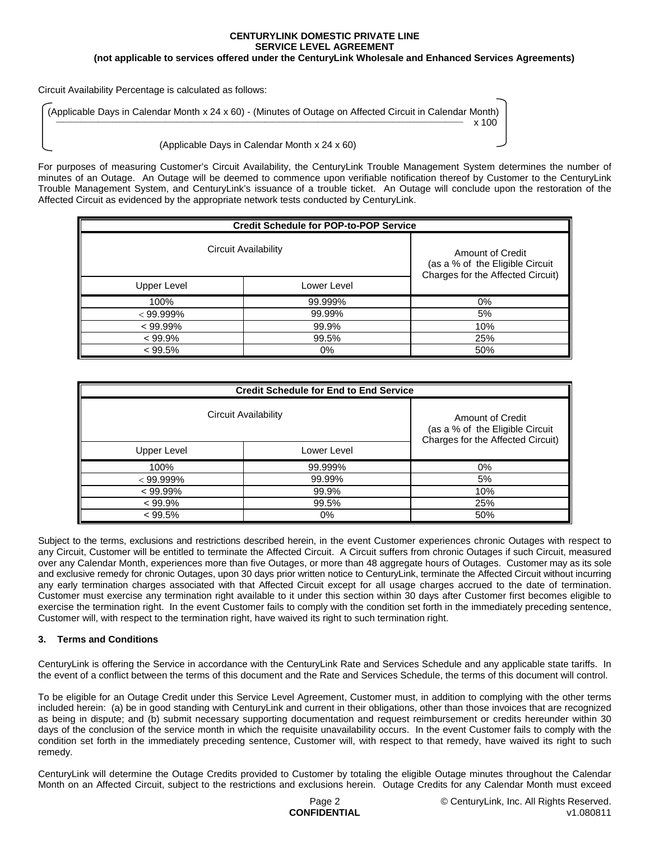## **CENTURYLINK DOMESTIC PRIVATE LINE SERVICE LEVEL AGREEMENT**

**(not applicable to services offered under the CenturyLink Wholesale and Enhanced Services Agreements)**

Circuit Availability Percentage is calculated as follows:

(Applicable Days in Calendar Month x 24 x 60) - (Minutes of Outage on Affected Circuit in Calendar Month)  $\frac{1}{2}$  x 100

(Applicable Days in Calendar Month x 24 x 60)

For purposes of measuring Customer's Circuit Availability, the CenturyLink Trouble Management System determines the number of minutes of an Outage. An Outage will be deemed to commence upon verifiable notification thereof by Customer to the CenturyLink Trouble Management System, and CenturyLink's issuance of a trouble ticket. An Outage will conclude upon the restoration of the Affected Circuit as evidenced by the appropriate network tests conducted by CenturyLink.

| <b>Credit Schedule for POP-to-POP Service</b> |             |                                                                                          |  |
|-----------------------------------------------|-------------|------------------------------------------------------------------------------------------|--|
| Circuit Availability                          |             | Amount of Credit<br>(as a % of the Eligible Circuit<br>Charges for the Affected Circuit) |  |
| Upper Level                                   | Lower Level |                                                                                          |  |
| 100%                                          | 99.999%     | $0\%$                                                                                    |  |
| $< 99.999\%$                                  | 99.99%      | 5%                                                                                       |  |
| $< 99.99\%$                                   | 99.9%       | 10%                                                                                      |  |
| $< 99.9\%$                                    | 99.5%       | 25%                                                                                      |  |
| $< 99.5\%$                                    | 0%          | 50%                                                                                      |  |

| <b>Credit Schedule for End to End Service</b> |             |                                                                                          |  |
|-----------------------------------------------|-------------|------------------------------------------------------------------------------------------|--|
| Circuit Availability                          |             | Amount of Credit<br>(as a % of the Eligible Circuit<br>Charges for the Affected Circuit) |  |
| Upper Level                                   | Lower Level |                                                                                          |  |
| 100%                                          | 99.999%     | 0%                                                                                       |  |
| $< 99.999\%$                                  | 99.99%      | 5%                                                                                       |  |
| $< 99.99\%$                                   | 99.9%       | 10%                                                                                      |  |
| $< 99.9\%$                                    | 99.5%       | 25%                                                                                      |  |
| $< 99.5\%$                                    | 0%          | 50%                                                                                      |  |

Subject to the terms, exclusions and restrictions described herein, in the event Customer experiences chronic Outages with respect to any Circuit, Customer will be entitled to terminate the Affected Circuit. A Circuit suffers from chronic Outages if such Circuit, measured over any Calendar Month, experiences more than five Outages, or more than 48 aggregate hours of Outages. Customer may as its sole and exclusive remedy for chronic Outages, upon 30 days prior written notice to CenturyLink, terminate the Affected Circuit without incurring any early termination charges associated with that Affected Circuit except for all usage charges accrued to the date of termination. Customer must exercise any termination right available to it under this section within 30 days after Customer first becomes eligible to exercise the termination right. In the event Customer fails to comply with the condition set forth in the immediately preceding sentence, Customer will, with respect to the termination right, have waived its right to such termination right.

# **3. Terms and Conditions**

CenturyLink is offering the Service in accordance with the CenturyLink Rate and Services Schedule and any applicable state tariffs. In the event of a conflict between the terms of this document and the Rate and Services Schedule, the terms of this document will control.

To be eligible for an Outage Credit under this Service Level Agreement, Customer must, in addition to complying with the other terms included herein: (a) be in good standing with CenturyLink and current in their obligations, other than those invoices that are recognized as being in dispute; and (b) submit necessary supporting documentation and request reimbursement or credits hereunder within 30 days of the conclusion of the service month in which the requisite unavailability occurs. In the event Customer fails to comply with the condition set forth in the immediately preceding sentence, Customer will, with respect to that remedy, have waived its right to such remedy.

CenturyLink will determine the Outage Credits provided to Customer by totaling the eligible Outage minutes throughout the Calendar Month on an Affected Circuit, subject to the restrictions and exclusions herein. Outage Credits for any Calendar Month must exceed